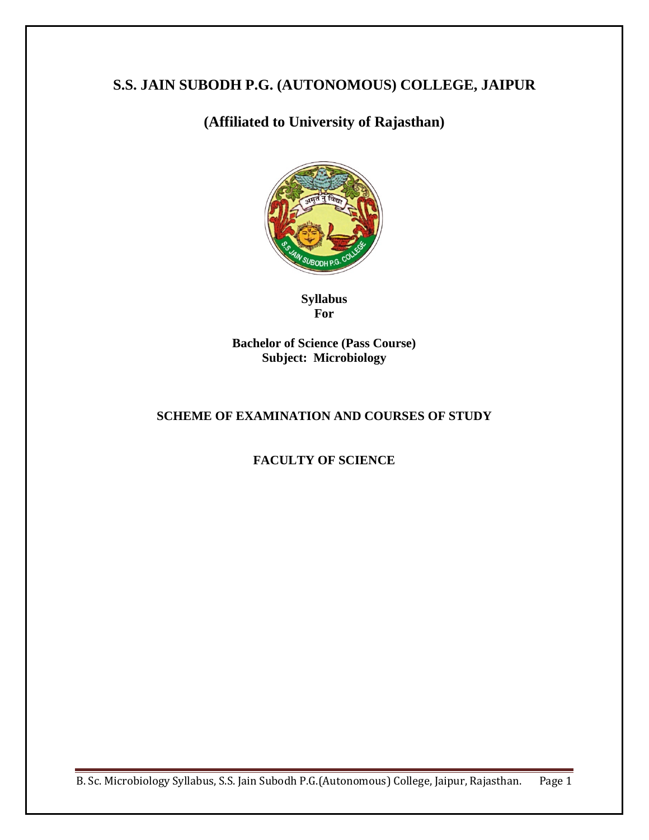# **S.S. JAIN SUBODH P.G. (AUTONOMOUS) COLLEGE, JAIPUR**

# **(Affiliated to University of Rajasthan)**



**Syllabus For**

**Bachelor of Science (Pass Course) Subject: Microbiology**

# **SCHEME OF EXAMINATION AND COURSES OF STUDY**

# **FACULTY OF SCIENCE**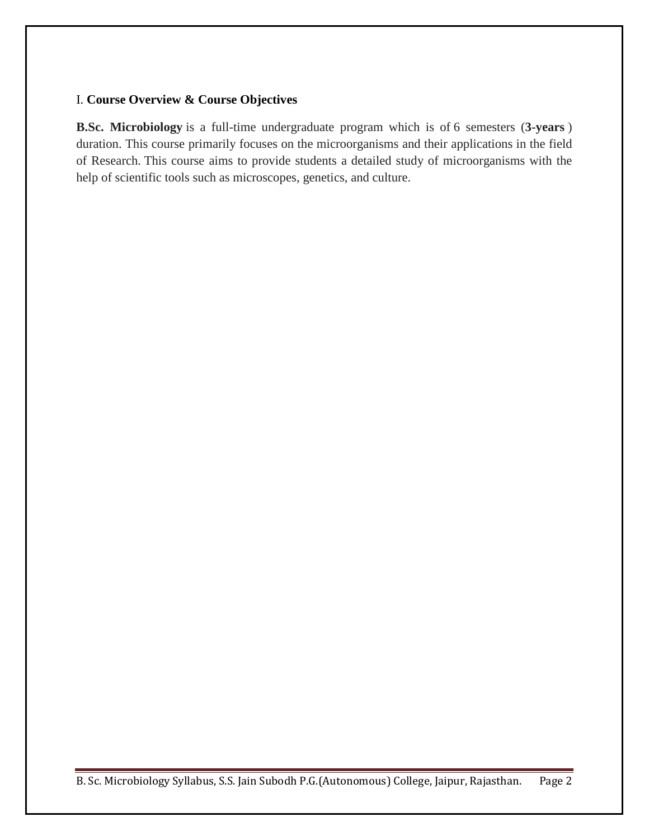## I. **Course Overview & Course Objectives**

**B.Sc. Microbiology** is a full-time undergraduate program which is of 6 semesters (**3-years** ) duration. This course primarily focuses on the microorganisms and their applications in the field of Research. This course aims to provide students a detailed study of microorganisms with the help of scientific tools such as microscopes, genetics, and culture.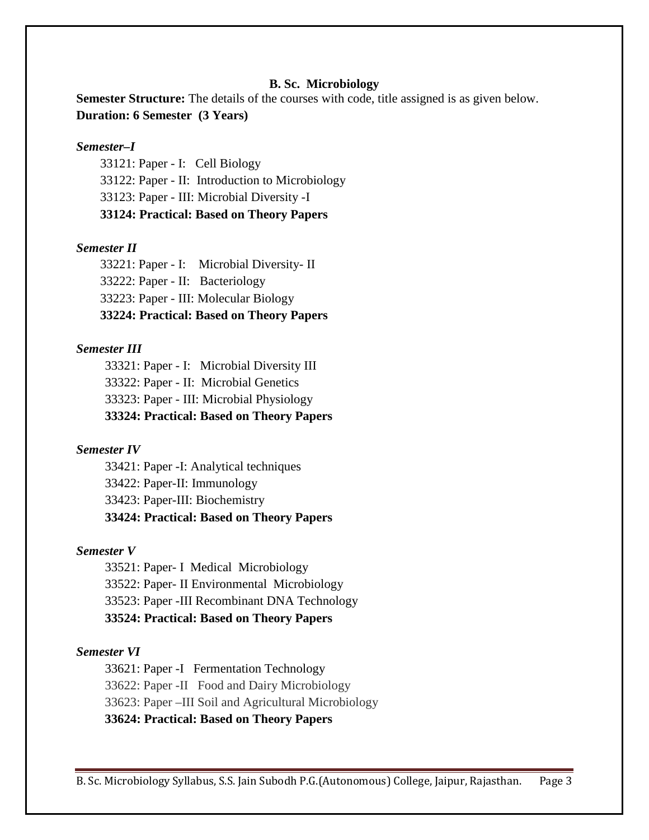#### **B. Sc. Microbiology**

**Semester Structure:** The details of the courses with code, title assigned is as given below. **Duration: 6 Semester (3 Years)**

### *Semester–I*

33121: Paper - I: Cell Biology 33122: Paper - II: Introduction to Microbiology 33123: Paper - III: Microbial Diversity -I **33124: Practical: Based on Theory Papers**

#### *Semester II*

33221: Paper - I: Microbial Diversity- II 33222: Paper - II: Bacteriology 33223: Paper - III: Molecular Biology **33224: Practical: Based on Theory Papers**

### *Semester III*

33321: Paper - I: Microbial Diversity III 33322: Paper - II: Microbial Genetics 33323: Paper - III: Microbial Physiology

## **33324: Practical: Based on Theory Papers**

#### *Semester IV*

33421: Paper -I: Analytical techniques 33422: Paper-II: Immunology 33423: Paper-III: Biochemistry **33424: Practical: Based on Theory Papers**

#### *Semester V*

33521: Paper- I Medical Microbiology 33522: Paper- II Environmental Microbiology 33523: Paper -III Recombinant DNA Technology **33524: Practical: Based on Theory Papers**

#### *Semester VI*

33621: Paper -I Fermentation Technology

33622: Paper -II Food and Dairy Microbiology

33623: Paper –III Soil and Agricultural Microbiology

**33624: Practical: Based on Theory Papers**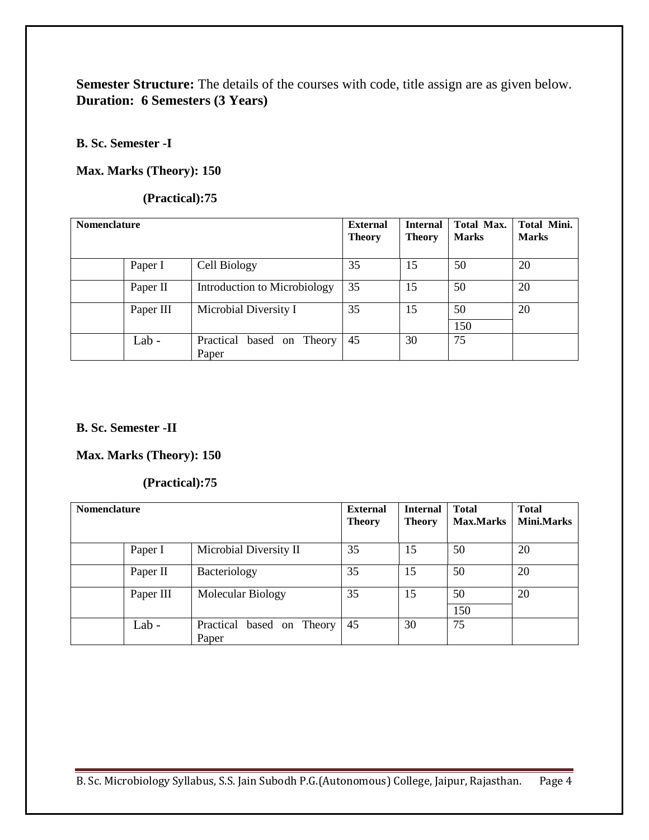# Semester Structure: The details of the courses with code, title assign are as given below. **Duration: 6 Semesters (3 Years)**

## **B. Sc. Semester -I**

## **Max. Marks (Theory): 150**

## **(Practical):75**

| <b>Nomenclature</b> |           |                                    | <b>External</b><br><b>Theory</b> | <b>Internal</b><br><b>Theory</b> | <b>Total Max.</b><br><b>Marks</b> | <b>Total Mini.</b><br><b>Marks</b> |
|---------------------|-----------|------------------------------------|----------------------------------|----------------------------------|-----------------------------------|------------------------------------|
|                     | Paper I   | Cell Biology                       | 35                               | 15                               | 50                                | 20                                 |
|                     | Paper II  | Introduction to Microbiology       | 35                               | 15                               | 50                                | 20                                 |
|                     | Paper III | Microbial Diversity I              | 35                               | 15                               | 50                                | 20                                 |
|                     |           |                                    |                                  |                                  | 150                               |                                    |
|                     | Lab $-$   | Practical based on Theory<br>Paper | 45                               | 30                               | 75                                |                                    |

## **B. Sc. Semester -II**

## **Max. Marks (Theory): 150**

## **(Practical):75**

| <b>Nomenclature</b> |           |                                       | <b>External</b><br><b>Theory</b> | <b>Internal</b><br><b>Theory</b> | <b>Total</b><br><b>Max.Marks</b> | <b>Total</b><br><b>Mini.Marks</b> |
|---------------------|-----------|---------------------------------------|----------------------------------|----------------------------------|----------------------------------|-----------------------------------|
|                     | Paper I   | Microbial Diversity II                | 35                               | 15                               | 50                               | 20                                |
|                     | Paper II  | Bacteriology                          | 35                               | 15                               | 50                               | 20                                |
|                     | Paper III | Molecular Biology                     | 35                               | 15                               | 50<br>150                        | 20                                |
|                     | Lab -     | Practical<br>based on Theory<br>Paper | 45                               | 30                               | 75                               |                                   |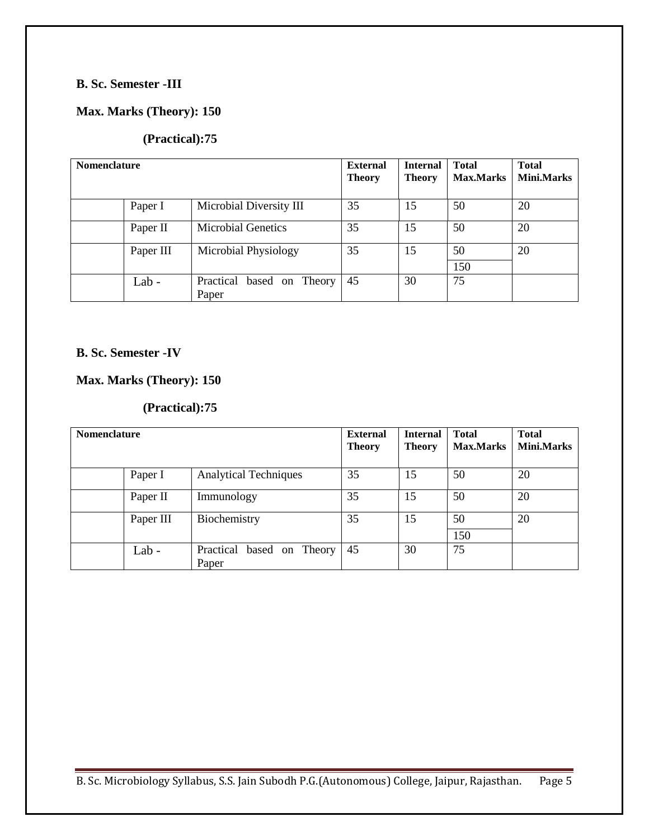# **B. Sc. Semester -III**

## **Max. Marks (Theory): 150**

## **(Practical):75**

| <b>Nomenclature</b> |           |                                       | <b>External</b><br><b>Theory</b> | <b>Internal</b><br><b>Theory</b> | <b>Total</b><br><b>Max.Marks</b> | <b>Total</b><br><b>Mini.Marks</b> |
|---------------------|-----------|---------------------------------------|----------------------------------|----------------------------------|----------------------------------|-----------------------------------|
|                     | Paper I   | Microbial Diversity III               | 35                               | 15                               | 50                               | 20                                |
|                     | Paper II  | <b>Microbial Genetics</b>             | 35                               | 15                               | 50                               | 20                                |
|                     | Paper III | Microbial Physiology                  | 35                               | 15                               | 50<br>150                        | 20                                |
|                     | Lab-      | Practical based on<br>Theory<br>Paper | 45                               | 30                               | 75                               |                                   |

### **B. Sc. Semester -IV**

## **Max. Marks (Theory): 150**

## **(Practical):75**

| <b>Nomenclature</b> |           |                                    | <b>External</b><br><b>Theory</b> | <b>Internal</b><br><b>Theory</b> | <b>Total</b><br><b>Max.Marks</b> | <b>Total</b><br><b>Mini.Marks</b> |
|---------------------|-----------|------------------------------------|----------------------------------|----------------------------------|----------------------------------|-----------------------------------|
|                     | Paper I   | <b>Analytical Techniques</b>       | 35                               | 15                               | 50                               | 20                                |
|                     | Paper II  | Immunology                         | 35                               | 15                               | 50                               | 20                                |
|                     | Paper III | Biochemistry                       | 35                               | 15                               | 50                               | 20                                |
|                     |           |                                    |                                  |                                  | 150                              |                                   |
|                     | Lab-      | Practical based on Theory<br>Paper | 45                               | 30                               | 75                               |                                   |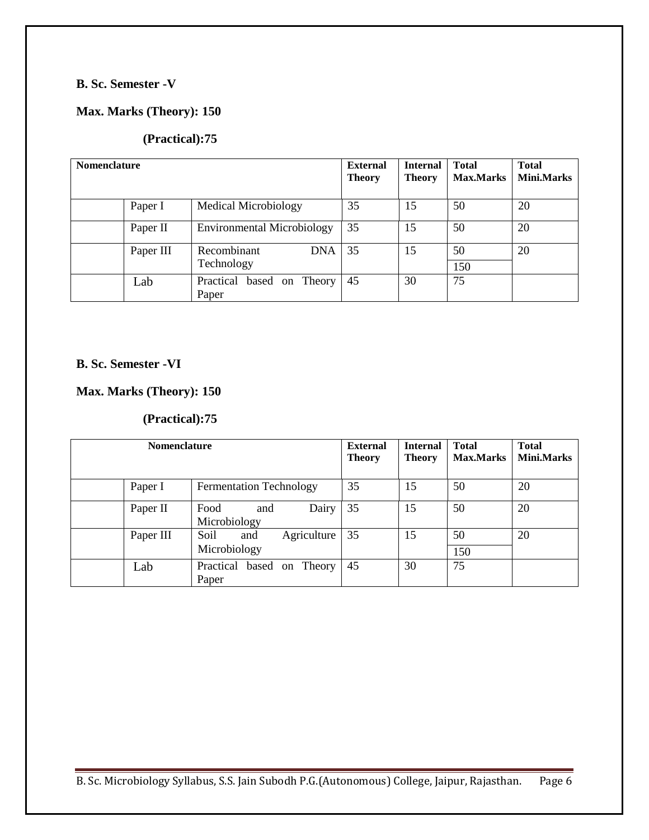# **B. Sc. Semester -V**

## **Max. Marks (Theory): 150**

## **(Practical):75**

| <b>Nomenclature</b> |           |                                   | <b>External</b><br><b>Theory</b> | <b>Internal</b><br><b>Theory</b> | <b>Total</b><br><b>Max.Marks</b> | <b>Total</b><br><b>Mini.Marks</b> |
|---------------------|-----------|-----------------------------------|----------------------------------|----------------------------------|----------------------------------|-----------------------------------|
|                     | Paper I   | <b>Medical Microbiology</b>       | 35                               | 15                               | 50                               | 20                                |
|                     | Paper II  | <b>Environmental Microbiology</b> | 35                               | 15                               | 50                               | 20                                |
|                     | Paper III | Recombinant<br><b>DNA</b>         | 35                               | 15                               | 50                               | 20                                |
|                     |           | Technology                        |                                  |                                  | 150                              |                                   |
|                     | Lab       | Practical based on<br>Theory      | 45                               | 30                               | 75                               |                                   |
|                     |           | Paper                             |                                  |                                  |                                  |                                   |

# **B. Sc. Semester -VI**

## **Max. Marks (Theory): 150**

## **(Practical):75**

| <b>Nomenclature</b> |           |                                            | <b>External</b><br><b>Theory</b> | <b>Internal</b><br><b>Theory</b> | <b>Total</b><br><b>Max.Marks</b> | <b>Total</b><br><b>Mini.Marks</b> |
|---------------------|-----------|--------------------------------------------|----------------------------------|----------------------------------|----------------------------------|-----------------------------------|
|                     | Paper I   | <b>Fermentation Technology</b>             | 35                               | 15                               | 50                               | 20                                |
|                     | Paper II  | Dairy<br>Food<br>and<br>Microbiology       | 35                               | 15                               | 50                               | 20                                |
|                     | Paper III | Soil<br>Agriculture<br>and<br>Microbiology | 35                               | 15                               | 50<br>150                        | 20                                |
|                     | Lab       | Practical<br>on Theory<br>based<br>Paper   | 45                               | 30                               | 75                               |                                   |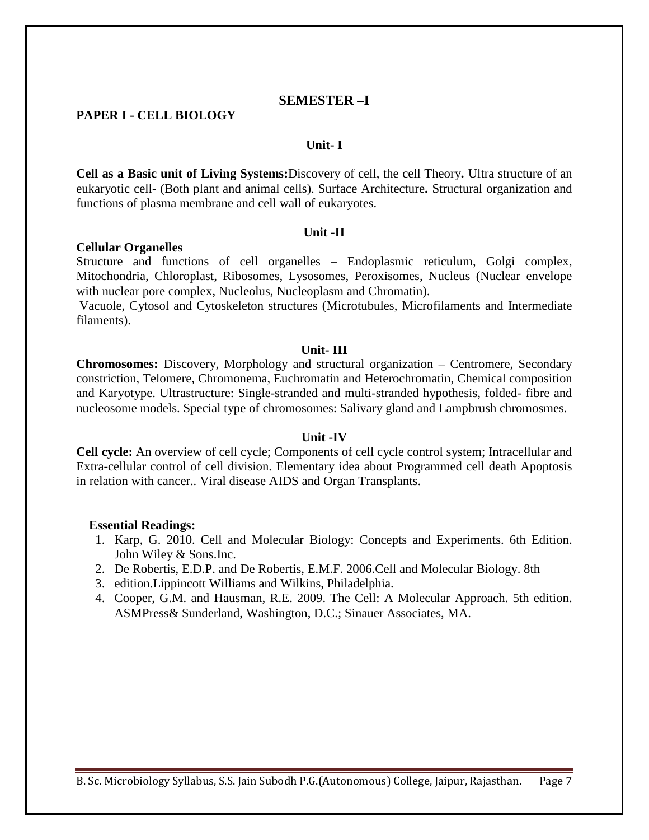## **SEMESTER –I**

#### **PAPER I - CELL BIOLOGY**

#### **Unit- I**

**Cell as a Basic unit of Living Systems:**Discovery of cell, the cell Theory**.** Ultra structure of an eukaryotic cell- (Both plant and animal cells). Surface Architecture**.** Structural organization and functions of plasma membrane and cell wall of eukaryotes.

#### **Unit -II**

#### **Cellular Organelles**

Structure and functions of cell organelles – Endoplasmic reticulum, Golgi complex, Mitochondria, Chloroplast, Ribosomes, Lysosomes, Peroxisomes, Nucleus (Nuclear envelope with nuclear pore complex, Nucleolus, Nucleoplasm and Chromatin).

Vacuole, Cytosol and Cytoskeleton structures (Microtubules, Microfilaments and Intermediate filaments).

#### **Unit- III**

**Chromosomes:** Discovery, Morphology and structural organization – Centromere, Secondary constriction, Telomere, Chromonema, Euchromatin and Heterochromatin, Chemical composition and Karyotype. Ultrastructure: Single-stranded and multi-stranded hypothesis, folded- fibre and nucleosome models. Special type of chromosomes: Salivary gland and Lampbrush chromosmes.

#### **Unit -IV**

**Cell cycle:** An overview of cell cycle; Components of cell cycle control system; Intracellular and Extra-cellular control of cell division. Elementary idea about Programmed cell death Apoptosis in relation with cancer.. Viral disease AIDS and Organ Transplants.

#### **Essential Readings:**

- 1. Karp, G. 2010. Cell and Molecular Biology: Concepts and Experiments. 6th Edition. John Wiley & Sons.Inc.
- 2. De Robertis, E.D.P. and De Robertis, E.M.F. 2006.Cell and Molecular Biology. 8th
- 3. edition.Lippincott Williams and Wilkins, Philadelphia.
- 4. Cooper, G.M. and Hausman, R.E. 2009. The Cell: A Molecular Approach. 5th edition. ASMPress& Sunderland, Washington, D.C.; Sinauer Associates, MA.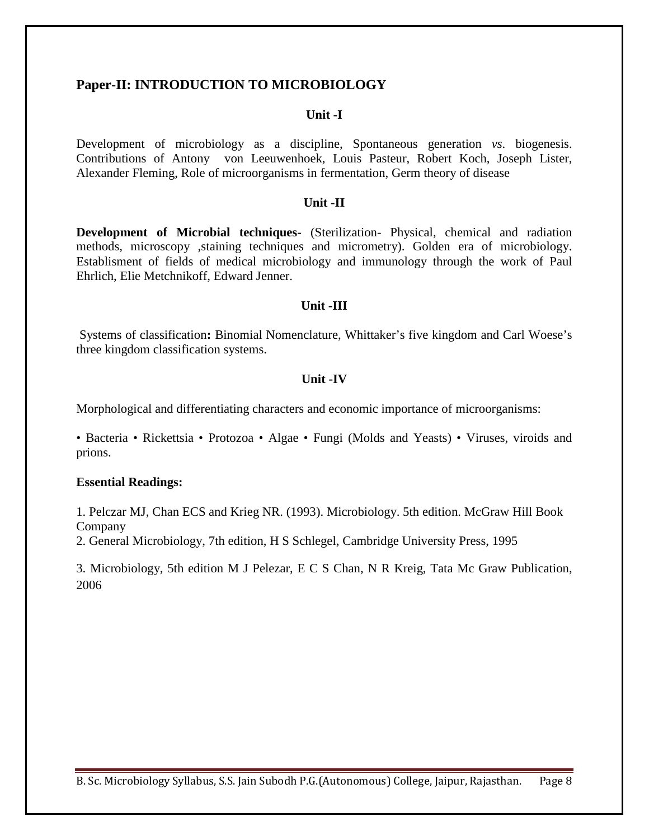## **Paper-II: INTRODUCTION TO MICROBIOLOGY**

#### **Unit -I**

Development of microbiology as a discipline, Spontaneous generation *vs*. biogenesis. Contributions of Antony von Leeuwenhoek, Louis Pasteur, Robert Koch, Joseph Lister, Alexander Fleming, Role of microorganisms in fermentation, Germ theory of disease

### **Unit -II**

**Development of Microbial techniques-** (Sterilization- Physical, chemical and radiation methods, microscopy ,staining techniques and micrometry). Golden era of microbiology. Establisment of fields of medical microbiology and immunology through the work of Paul Ehrlich, Elie Metchnikoff, Edward Jenner.

#### **Unit -III**

Systems of classification**:** Binomial Nomenclature, Whittaker's five kingdom and Carl Woese's three kingdom classification systems.

### **Unit -IV**

Morphological and differentiating characters and economic importance of microorganisms:

• Bacteria • Rickettsia • Protozoa • Algae • Fungi (Molds and Yeasts) • Viruses, viroids and prions.

#### **Essential Readings:**

1. Pelczar MJ, Chan ECS and Krieg NR. (1993). Microbiology. 5th edition. McGraw Hill Book Company

2. General Microbiology, 7th edition, H S Schlegel, Cambridge University Press, 1995

3. Microbiology, 5th edition M J Pelezar, E C S Chan, N R Kreig, Tata Mc Graw Publication, 2006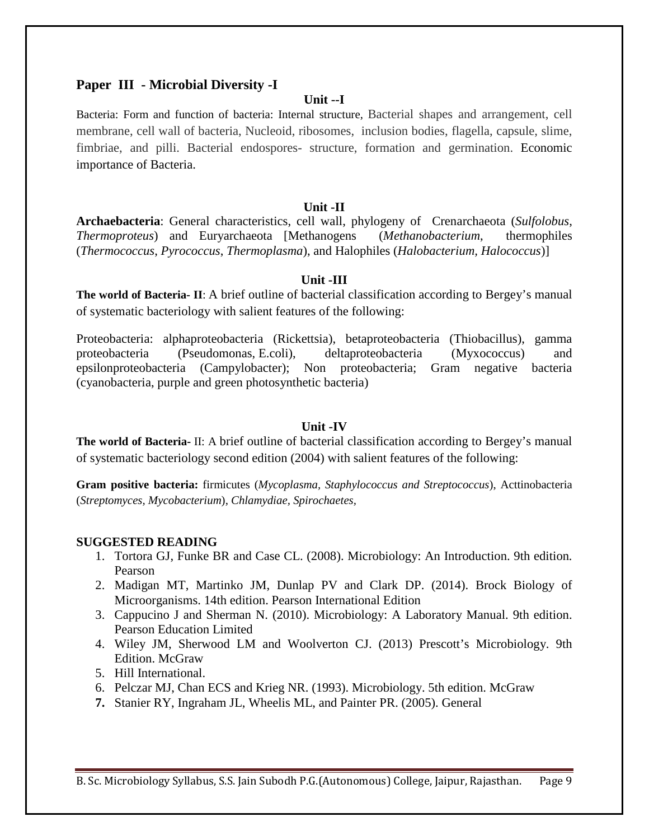## **Paper III - Microbial Diversity -I**

### **Unit --I**

Bacteria: Form and function of bacteria: Internal structure, Bacterial shapes and arrangement, cell membrane, cell wall of bacteria, Nucleoid, ribosomes, inclusion bodies, flagella, capsule, slime, fimbriae, and pilli. Bacterial endospores- structure, formation and germination. Economic importance of Bacteria.

### **Unit -II**

**Archaebacteria**: General characteristics, cell wall, phylogeny of Crenarchaeota (*Sulfolobus*, *Thermoproteus*) and Euryarchaeota [Methanogens (*Methanobacterium*, thermophiles (*Thermococcus*, *Pyrococcus*, *Thermoplasma*), and Halophiles (*Halobacterium, Halococcus*)]

### **Unit -III**

**The world of Bacteria- II**: A brief outline of bacterial classification according to Bergey's manual of systematic bacteriology with salient features of the following:

Proteobacteria: alphaproteobacteria (Rickettsia), betaproteobacteria (Thiobacillus), gamma proteobacteria (Pseudomonas, E.coli), deltaproteobacteria (Myxococcus) and epsilonproteobacteria (Campylobacter); Non proteobacteria; Gram negative bacteria (cyanobacteria, purple and green photosynthetic bacteria)

## **Unit -IV**

**The world of Bacteria-** II: A brief outline of bacterial classification according to Bergey's manual of systematic bacteriology second edition (2004) with salient features of the following:

**Gram positive bacteria:** firmicutes (*Mycoplasma, Staphylococcus and Streptococcus*), Acttinobacteria (*Streptomyces, Mycobacterium*), *Chlamydiae, Spirochaetes,*

### **SUGGESTED READING**

- 1. Tortora GJ, Funke BR and Case CL. (2008). Microbiology: An Introduction. 9th edition*.*  Pearson
- 2. Madigan MT, Martinko JM, Dunlap PV and Clark DP. (2014). Brock Biology of Microorganisms. 14th edition. Pearson International Edition
- 3. Cappucino J and Sherman N. (2010). Microbiology: A Laboratory Manual. 9th edition. Pearson Education Limited
- 4. Wiley JM, Sherwood LM and Woolverton CJ. (2013) Prescott's Microbiology. 9th Edition. McGraw
- 5. Hill International.
- 6. Pelczar MJ, Chan ECS and Krieg NR. (1993). Microbiology. 5th edition. McGraw
- **7.** Stanier RY, Ingraham JL, Wheelis ML, and Painter PR. (2005). General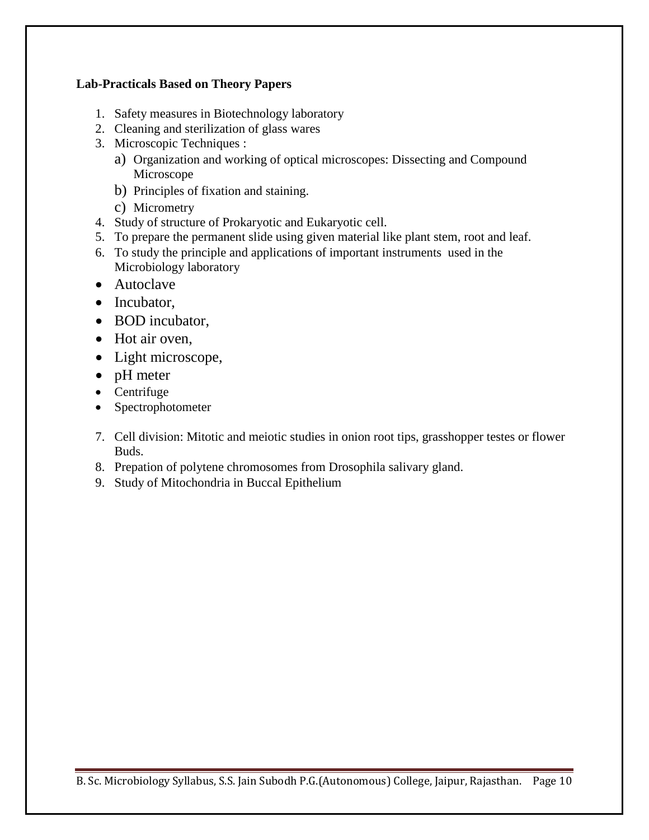## **Lab-Practicals Based on Theory Papers**

- 1. Safety measures in Biotechnology laboratory
- 2. Cleaning and sterilization of glass wares
- 3. Microscopic Techniques :
	- a) Organization and working of optical microscopes: Dissecting and Compound Microscope
	- b) Principles of fixation and staining.
	- c) Micrometry
- 4. Study of structure of Prokaryotic and Eukaryotic cell.
- 5. To prepare the permanent slide using given material like plant stem, root and leaf.
- 6. To study the principle and applications of important instruments used in the Microbiology laboratory
- Autoclave
- Incubator,
- BOD incubator,
- Hot air oven.
- Light microscope,
- pH meter
- Centrifuge
- Spectrophotometer
- 7. Cell division: Mitotic and meiotic studies in onion root tips, grasshopper testes or flower Buds.
- 8. Prepation of polytene chromosomes from Drosophila salivary gland.
- 9. Study of Mitochondria in Buccal Epithelium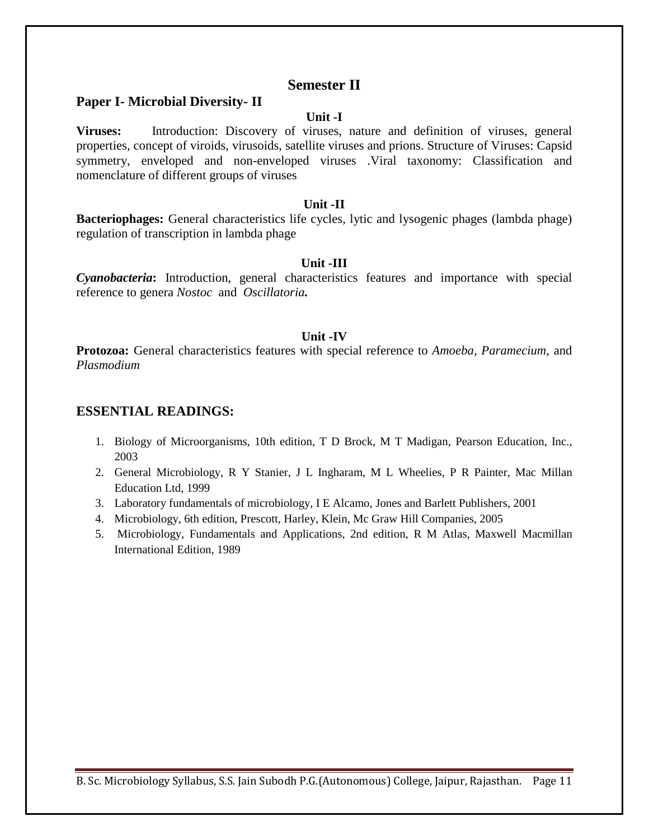## **Semester II**

## **Paper I- Microbial Diversity- II**

### **Unit -I**

**Viruses:** Introduction: Discovery of viruses, nature and definition of viruses, general properties, concept of viroids, virusoids, satellite viruses and prions. Structure of Viruses: Capsid symmetry, enveloped and non-enveloped viruses .Viral taxonomy: Classification and nomenclature of different groups of viruses

#### **Unit -II**

**Bacteriophages:** General characteristics life cycles, lytic and lysogenic phages (lambda phage) regulation of transcription in lambda phage

#### **Unit -III**

*Cyanobacteria***:** Introduction, general characteristics features and importance with special reference to genera *Nostoc* and *Oscillatoria.*

#### **Unit -IV**

**Protozoa:** General characteristics features with special reference to *Amoeba, Paramecium,* and *Plasmodium*

## **ESSENTIAL READINGS:**

- 1. Biology of Microorganisms, 10th edition, T D Brock, M T Madigan, Pearson Education, Inc., 2003
- 2. General Microbiology, R Y Stanier, J L Ingharam, M L Wheelies, P R Painter, Mac Millan Education Ltd, 1999
- 3. Laboratory fundamentals of microbiology, I E Alcamo, Jones and Barlett Publishers, 2001
- 4. Microbiology, 6th edition, Prescott, Harley, Klein, Mc Graw Hill Companies, 2005
- 5. Microbiology, Fundamentals and Applications, 2nd edition, R M Atlas, Maxwell Macmillan International Edition, 1989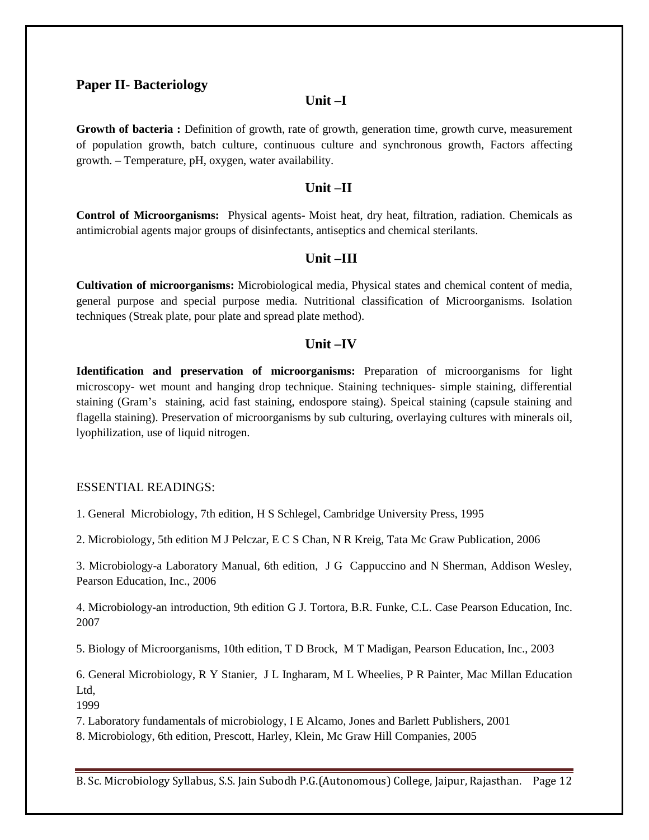### **Paper II- Bacteriology**

## **Unit –I**

**Growth of bacteria :** Definition of growth, rate of growth, generation time, growth curve, measurement of population growth, batch culture, continuous culture and synchronous growth, Factors affecting growth. – Temperature, pH, oxygen, water availability.

#### **Unit –II**

**Control of Microorganisms:** Physical agents- Moist heat, dry heat, filtration, radiation. Chemicals as antimicrobial agents major groups of disinfectants, antiseptics and chemical sterilants.

## **Unit –III**

**Cultivation of microorganisms:** Microbiological media, Physical states and chemical content of media, general purpose and special purpose media. Nutritional classification of Microorganisms. Isolation techniques (Streak plate, pour plate and spread plate method).

### **Unit –IV**

**Identification and preservation of microorganisms:** Preparation of microorganisms for light microscopy- wet mount and hanging drop technique. Staining techniques- simple staining, differential staining (Gram's staining, acid fast staining, endospore staing). Speical staining (capsule staining and flagella staining). Preservation of microorganisms by sub culturing, overlaying cultures with minerals oil, lyophilization, use of liquid nitrogen.

#### ESSENTIAL READINGS:

1. General Microbiology, 7th edition, H S Schlegel, Cambridge University Press, 1995

2. Microbiology, 5th edition M J Pelczar, E C S Chan, N R Kreig, Tata Mc Graw Publication, 2006

3. Microbiology-a Laboratory Manual, 6th edition, J G Cappuccino and N Sherman, Addison Wesley, Pearson Education, Inc., 2006

4. Microbiology-an introduction, 9th edition G J. Tortora, B.R. Funke, C.L. Case Pearson Education, Inc. 2007

5. Biology of Microorganisms, 10th edition, T D Brock, M T Madigan, Pearson Education, Inc., 2003

6. General Microbiology, R Y Stanier, J L Ingharam, M L Wheelies, P R Painter, Mac Millan Education Ltd,

1999

7. Laboratory fundamentals of microbiology, I E Alcamo, Jones and Barlett Publishers, 2001

8. Microbiology, 6th edition, Prescott, Harley, Klein, Mc Graw Hill Companies, 2005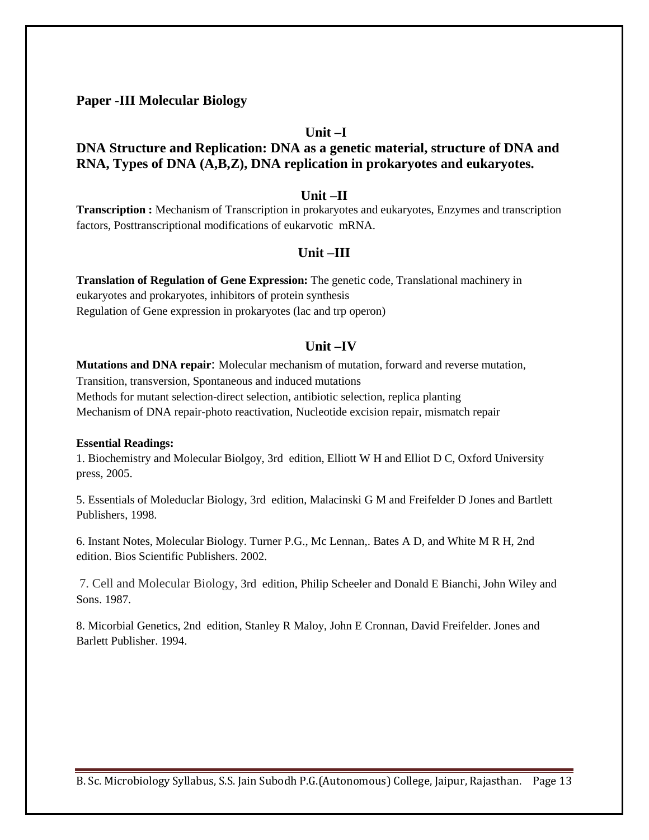**Paper -III Molecular Biology**

### **Unit –I**

## **DNA Structure and Replication: DNA as a genetic material, structure of DNA and RNA, Types of DNA (A,B,Z), DNA replication in prokaryotes and eukaryotes.**

#### **Unit –II**

**Transcription :** Mechanism of Transcription in prokaryotes and eukaryotes, Enzymes and transcription factors, Posttranscriptional modifications of eukarvotic mRNA.

### **Unit –III**

**Translation of Regulation of Gene Expression:** The genetic code, Translational machinery in eukaryotes and prokaryotes, inhibitors of protein synthesis Regulation of Gene expression in prokaryotes (lac and trp operon)

## **Unit –IV**

**Mutations and DNA repair**: Molecular mechanism of mutation, forward and reverse mutation, Transition, transversion, Spontaneous and induced mutations Methods for mutant selection-direct selection, antibiotic selection, replica planting Mechanism of DNA repair-photo reactivation, Nucleotide excision repair, mismatch repair

#### **Essential Readings:**

1. Biochemistry and Molecular Biolgoy, 3rd edition, Elliott W H and Elliot D C, Oxford University press, 2005.

5. Essentials of Moleduclar Biology, 3rd edition, Malacinski G M and Freifelder D Jones and Bartlett Publishers, 1998.

6. Instant Notes, Molecular Biology. Turner P.G., Mc Lennan,. Bates A D, and White M R H, 2nd edition. Bios Scientific Publishers. 2002.

7. Cell and Molecular Biology, 3rd edition, Philip Scheeler and Donald E Bianchi, John Wiley and Sons. 1987.

8. Micorbial Genetics, 2nd edition, Stanley R Maloy, John E Cronnan, David Freifelder. Jones and Barlett Publisher. 1994.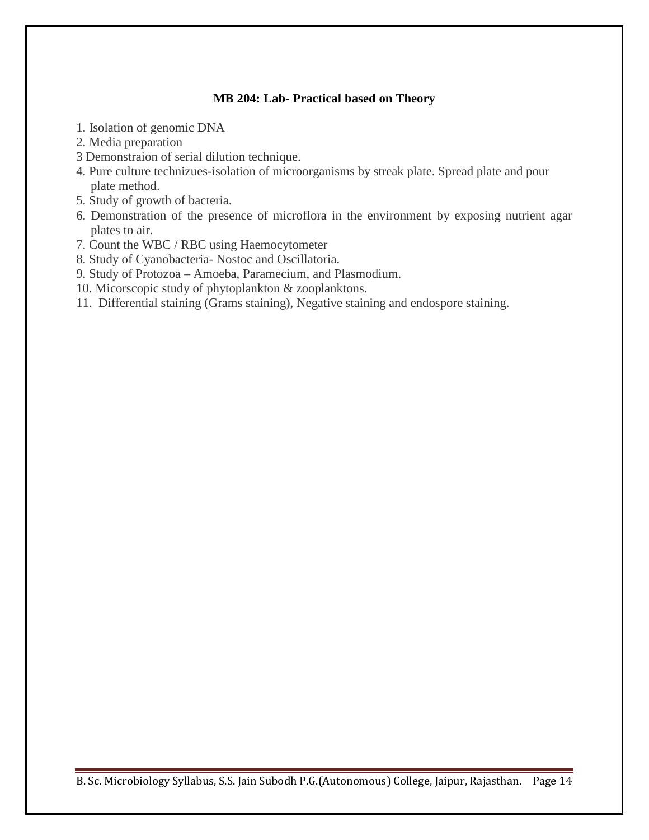## **MB 204: Lab- Practical based on Theory**

- 1. Isolation of genomic DNA
- 2. Media preparation
- 3 Demonstraion of serial dilution technique.
- 4. Pure culture technizues-isolation of microorganisms by streak plate. Spread plate and pour plate method.
- 5. Study of growth of bacteria.
- 6. Demonstration of the presence of microflora in the environment by exposing nutrient agar plates to air.
- 7. Count the WBC / RBC using Haemocytometer
- 8. Study of Cyanobacteria- Nostoc and Oscillatoria.
- 9. Study of Protozoa Amoeba, Paramecium, and Plasmodium.
- 10. Micorscopic study of phytoplankton & zooplanktons.
- 11. Differential staining (Grams staining), Negative staining and endospore staining.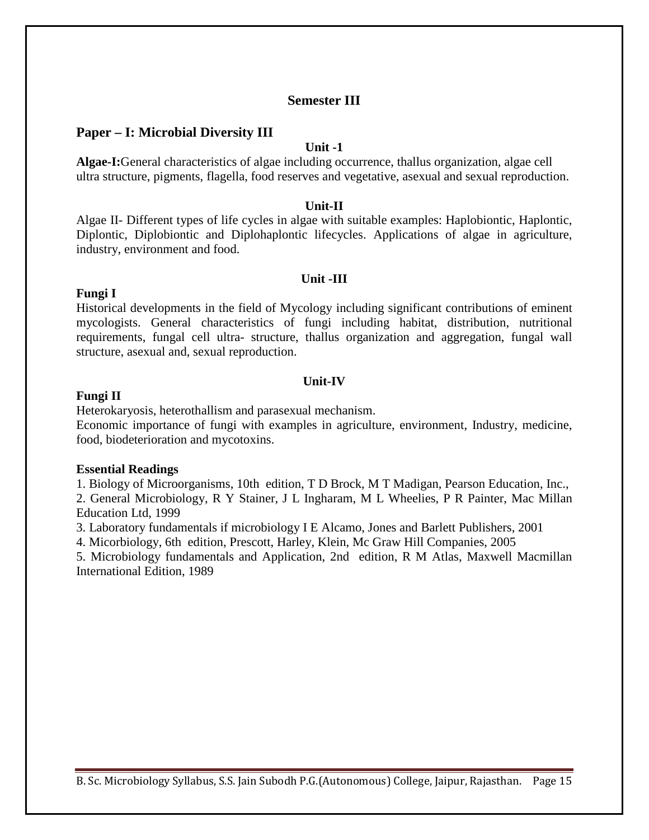## **Semester III**

## **Paper – I: Microbial Diversity III**

#### **Unit -1**

**Algae-I:**General characteristics of algae including occurrence, thallus organization, algae cell ultra structure, pigments, flagella, food reserves and vegetative, asexual and sexual reproduction.

### **Unit-II**

Algae II- Different types of life cycles in algae with suitable examples: Haplobiontic, Haplontic, Diplontic, Diplobiontic and Diplohaplontic lifecycles. Applications of algae in agriculture, industry, environment and food.

#### **Unit -III**

#### **Fungi I**

Historical developments in the field of Mycology including significant contributions of eminent mycologists. General characteristics of fungi including habitat, distribution, nutritional requirements, fungal cell ultra- structure, thallus organization and aggregation, fungal wall structure, asexual and, sexual reproduction.

#### **Unit-IV**

### **Fungi II**

Heterokaryosis, heterothallism and parasexual mechanism.

Economic importance of fungi with examples in agriculture, environment, Industry, medicine, food, biodeterioration and mycotoxins.

#### **Essential Readings**

1. Biology of Microorganisms, 10th edition, T D Brock, M T Madigan, Pearson Education, Inc., 2. General Microbiology, R Y Stainer, J L Ingharam, M L Wheelies, P R Painter, Mac Millan Education Ltd, 1999

3. Laboratory fundamentals if microbiology I E Alcamo, Jones and Barlett Publishers, 2001

4. Micorbiology, 6th edition, Prescott, Harley, Klein, Mc Graw Hill Companies, 2005

5. Microbiology fundamentals and Application, 2nd edition, R M Atlas, Maxwell Macmillan International Edition, 1989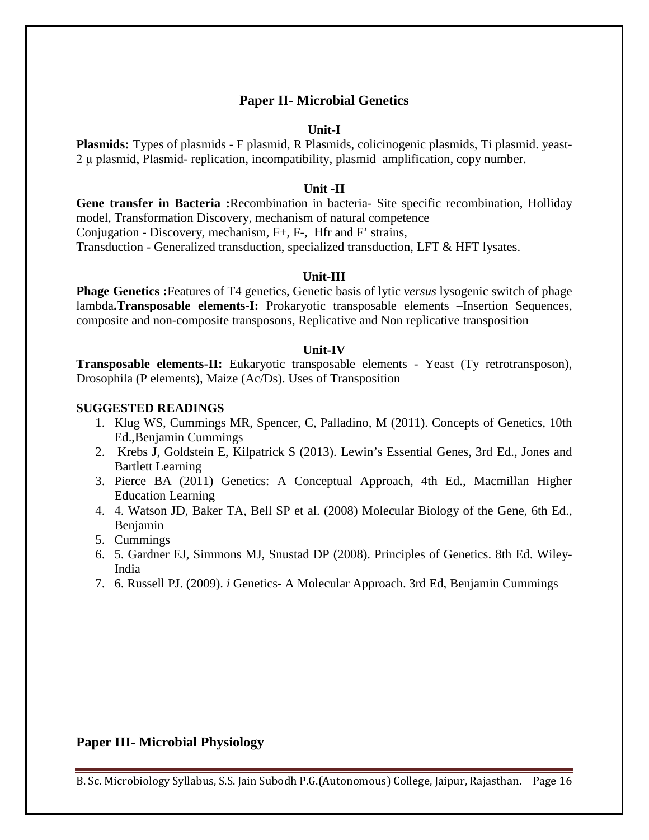## **Paper II- Microbial Genetics**

#### **Unit-I**

**Plasmids:** Types of plasmids - F plasmid, R Plasmids, colicinogenic plasmids, Ti plasmid. yeast-2 μ plasmid, Plasmid- replication, incompatibility, plasmid amplification, copy number.

#### **Unit -II**

**Gene transfer in Bacteria :**Recombination in bacteria- Site specific recombination, Holliday model, Transformation Discovery, mechanism of natural competence Conjugation - Discovery, mechanism, F+, F-, Hfr and F' strains, Transduction - Generalized transduction, specialized transduction, LFT & HFT lysates.

#### **Unit-III**

**Phage Genetics :**Features of T4 genetics, Genetic basis of lytic *versus* lysogenic switch of phage lambda**.Transposable elements-I:** Prokaryotic transposable elements –Insertion Sequences, composite and non-composite transposons, Replicative and Non replicative transposition

### **Unit-IV**

**Transposable elements-II:** Eukaryotic transposable elements - Yeast (Ty retrotransposon), Drosophila (P elements), Maize (Ac/Ds). Uses of Transposition

## **SUGGESTED READINGS**

- 1. Klug WS, Cummings MR, Spencer, C, Palladino, M (2011). Concepts of Genetics, 10th Ed.,Benjamin Cummings
- 2. Krebs J, Goldstein E, Kilpatrick S (2013). Lewin's Essential Genes, 3rd Ed., Jones and Bartlett Learning
- 3. Pierce BA (2011) Genetics: A Conceptual Approach, 4th Ed., Macmillan Higher Education Learning
- 4. 4. Watson JD, Baker TA, Bell SP et al. (2008) Molecular Biology of the Gene, 6th Ed., Benjamin
- 5. Cummings
- 6. 5. Gardner EJ, Simmons MJ, Snustad DP (2008). Principles of Genetics. 8th Ed. Wiley-India
- 7. 6. Russell PJ. (2009). *i* Genetics- A Molecular Approach. 3rd Ed, Benjamin Cummings

## **Paper III- Microbial Physiology**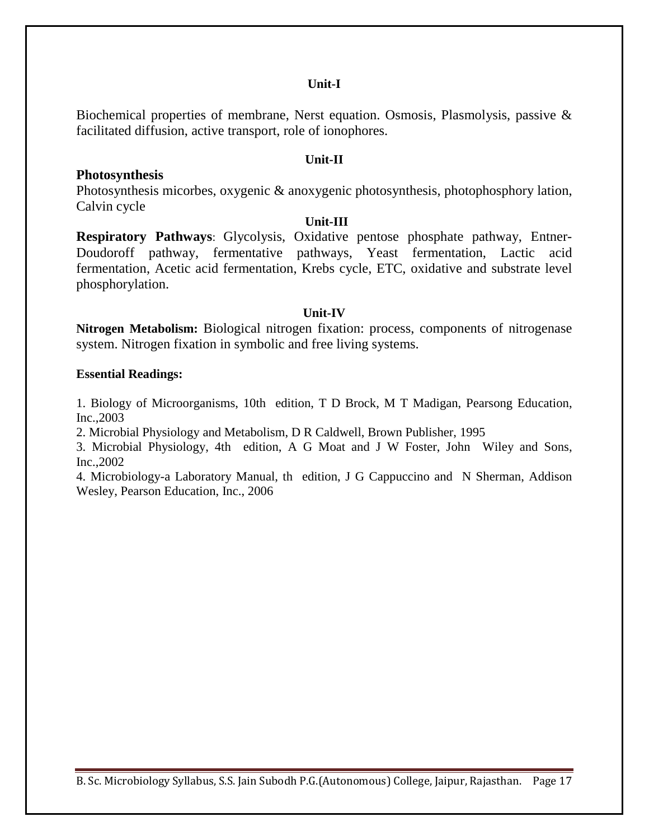### **Unit-I**

Biochemical properties of membrane, Nerst equation. Osmosis, Plasmolysis, passive & facilitated diffusion, active transport, role of ionophores.

## **Unit-II**

### **Photosynthesis** Photosynthesis micorbes, oxygenic & anoxygenic photosynthesis, photophosphory lation,

Calvin cycle

### **Unit-III**

**Respiratory Pathways**: Glycolysis, Oxidative pentose phosphate pathway, Entner-Doudoroff pathway, fermentative pathways, Yeast fermentation, Lactic acid fermentation, Acetic acid fermentation, Krebs cycle, ETC, oxidative and substrate level phosphorylation.

### **Unit-IV**

**Nitrogen Metabolism:** Biological nitrogen fixation: process, components of nitrogenase system. Nitrogen fixation in symbolic and free living systems.

### **Essential Readings:**

1. Biology of Microorganisms, 10th edition, T D Brock, M T Madigan, Pearsong Education, Inc.,2003

2. Microbial Physiology and Metabolism, D R Caldwell, Brown Publisher, 1995

3. Microbial Physiology, 4th edition, A G Moat and J W Foster, John Wiley and Sons, Inc.,2002

4. Microbiology-a Laboratory Manual, th edition, J G Cappuccino and N Sherman, Addison Wesley, Pearson Education, Inc., 2006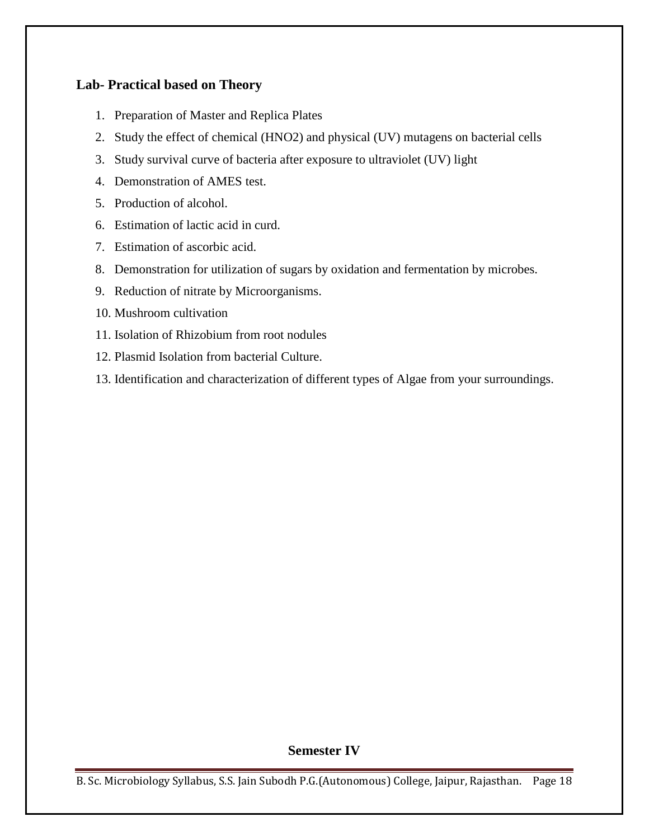## **Lab- Practical based on Theory**

- 1. Preparation of Master and Replica Plates
- 2. Study the effect of chemical (HNO2) and physical (UV) mutagens on bacterial cells
- 3. Study survival curve of bacteria after exposure to ultraviolet (UV) light
- 4. Demonstration of AMES test.
- 5. Production of alcohol.
- 6. Estimation of lactic acid in curd.
- 7. Estimation of ascorbic acid.
- 8. Demonstration for utilization of sugars by oxidation and fermentation by microbes.
- 9. Reduction of nitrate by Microorganisms.
- 10. Mushroom cultivation
- 11. Isolation of Rhizobium from root nodules
- 12. Plasmid Isolation from bacterial Culture.
- 13. Identification and characterization of different types of Algae from your surroundings.

### **Semester IV**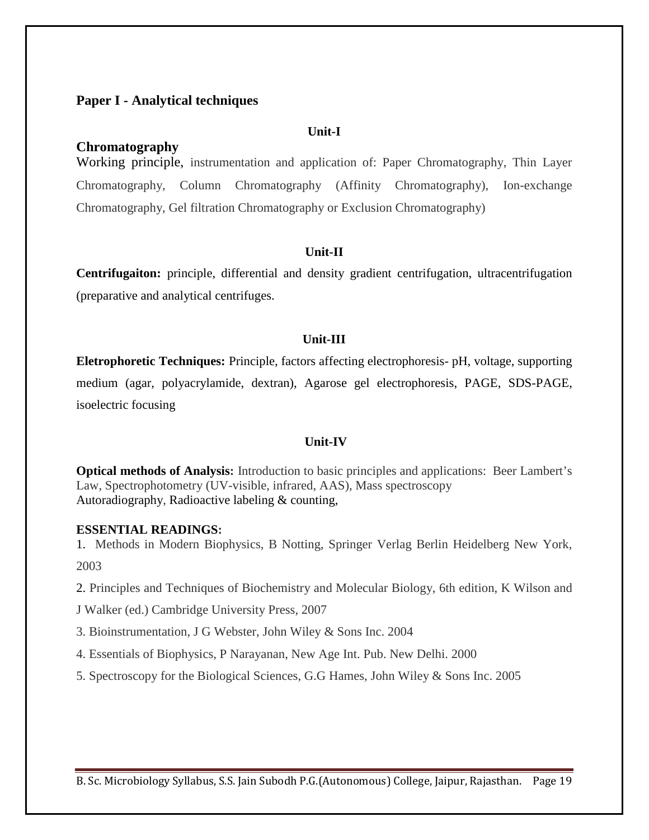## **Paper I - Analytical techniques**

#### **Unit-I**

## **Chromatography**

Working principle, instrumentation and application of: Paper Chromatography, Thin Layer Chromatography, Column Chromatography (Affinity Chromatography), Ion-exchange Chromatography, Gel filtration Chromatography or Exclusion Chromatography)

## **Unit-II**

**Centrifugaiton:** principle, differential and density gradient centrifugation, ultracentrifugation (preparative and analytical centrifuges.

#### **Unit-III**

**Eletrophoretic Techniques:** Principle, factors affecting electrophoresis- pH, voltage, supporting medium (agar, polyacrylamide, dextran), Agarose gel electrophoresis, PAGE, SDS-PAGE, isoelectric focusing

#### **Unit-IV**

**Optical methods of Analysis:** Introduction to basic principles and applications: Beer Lambert's Law, Spectrophotometry (UV-visible, infrared, AAS), Mass spectroscopy Autoradiography, Radioactive labeling & counting,

#### **ESSENTIAL READINGS:**

1. Methods in Modern Biophysics, B Notting, Springer Verlag Berlin Heidelberg New York, 2003

2. Principles and Techniques of Biochemistry and Molecular Biology, 6th edition, K Wilson and

J Walker (ed.) Cambridge University Press, 2007

3. Bioinstrumentation, J G Webster, John Wiley & Sons Inc. 2004

4. Essentials of Biophysics, P Narayanan, New Age Int. Pub. New Delhi. 2000

5. Spectroscopy for the Biological Sciences, G.G Hames, John Wiley & Sons Inc. 2005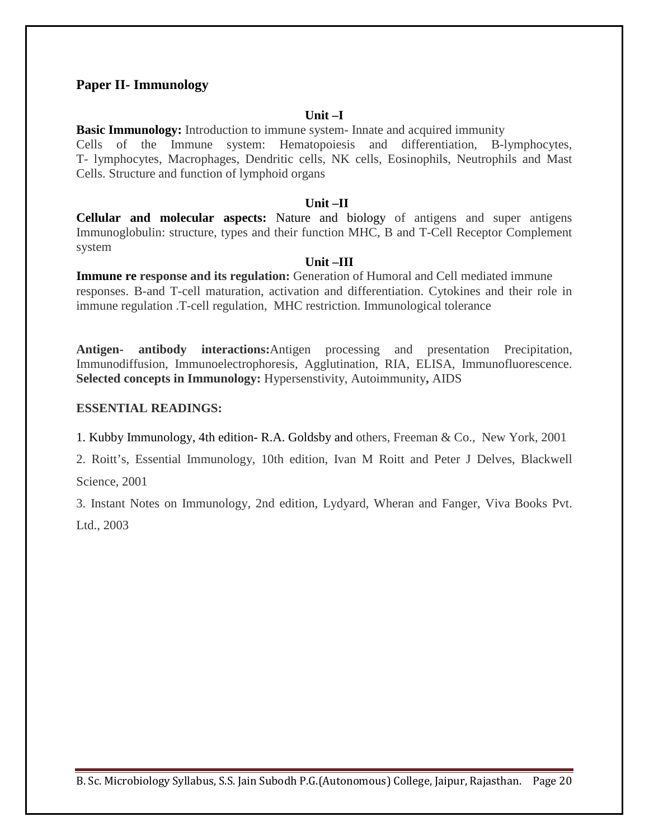## **Paper II- Immunology**

#### **Unit –I**

**Basic Immunology:** Introduction to immune system- Innate and acquired immunity Cells of the Immune system: Hematopoiesis and differentiation, B-lymphocytes, T- lymphocytes, Macrophages, Dendritic cells, NK cells, Eosinophils, Neutrophils and Mast Cells. Structure and function of lymphoid organs

#### **Unit –II**

**Cellular and molecular aspects:** Nature and biology of antigens and super antigens Immunoglobulin: structure, types and their function MHC, B and T-Cell Receptor Complement system

#### **Unit –III**

**Immune re response and its regulation:** Generation of Humoral and Cell mediated immune responses. B-and T-cell maturation, activation and differentiation. Cytokines and their role in immune regulation .T-cell regulation, MHC restriction. Immunological tolerance

**Antigen- antibody interactions:**Antigen processing and presentation Precipitation, Immunodiffusion, Immunoelectrophoresis, Agglutination, RIA, ELISA, Immunofluorescence. **Selected concepts in Immunology:** Hypersenstivity, Autoimmunity**,** AIDS

### **ESSENTIAL READINGS:**

1. Kubby Immunology, 4th edition- R.A. Goldsby and others, Freeman & Co., New York, 2001

2. Roitt's, Essential Immunology, 10th edition, Ivan M Roitt and Peter J Delves, Blackwell Science, 2001

3. Instant Notes on Immunology, 2nd edition, Lydyard, Wheran and Fanger, Viva Books Pvt. Ltd., 2003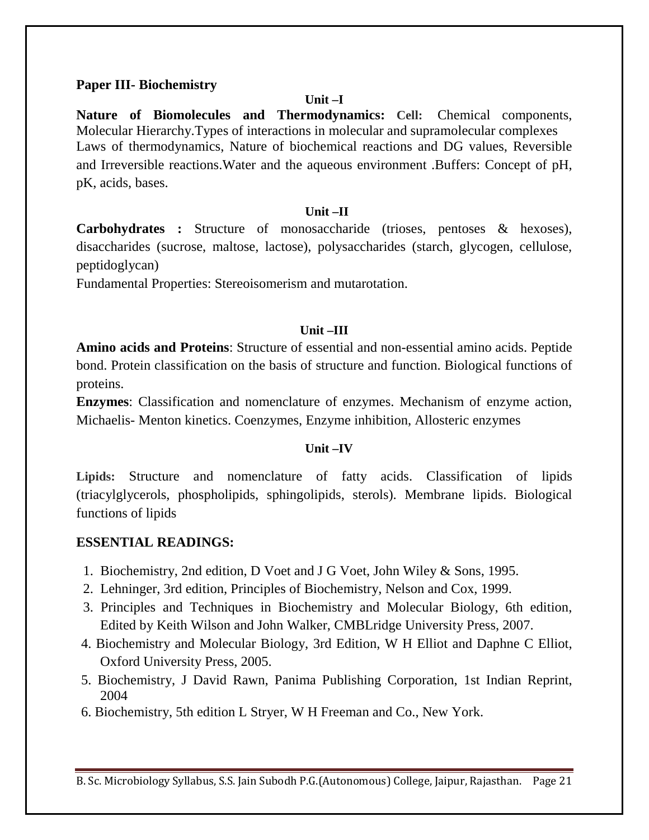## **Paper III- Biochemistry**

### **Unit –I**

**Nature of Biomolecules and Thermodynamics: Cell:** Chemical components, Molecular Hierarchy.Types of interactions in molecular and supramolecular complexes Laws of thermodynamics, Nature of biochemical reactions and DG values, Reversible and Irreversible reactions.Water and the aqueous environment .Buffers: Concept of pH, pK, acids, bases.

## **Unit –II**

**Carbohydrates :** Structure of monosaccharide (trioses, pentoses & hexoses), disaccharides (sucrose, maltose, lactose), polysaccharides (starch, glycogen, cellulose, peptidoglycan)

Fundamental Properties: Stereoisomerism and mutarotation.

## **Unit –III**

**Amino acids and Proteins**: Structure of essential and non-essential amino acids. Peptide bond. Protein classification on the basis of structure and function. Biological functions of proteins.

**Enzymes**: Classification and nomenclature of enzymes. Mechanism of enzyme action, Michaelis- Menton kinetics. Coenzymes, Enzyme inhibition, Allosteric enzymes

### **Unit –IV**

**Lipids:** Structure and nomenclature of fatty acids. Classification of lipids (triacylglycerols, phospholipids, sphingolipids, sterols). Membrane lipids. Biological functions of lipids

## **ESSENTIAL READINGS:**

- 1. Biochemistry, 2nd edition, D Voet and J G Voet, John Wiley & Sons, 1995.
- 2. Lehninger, 3rd edition, Principles of Biochemistry, Nelson and Cox, 1999.
- 3. Principles and Techniques in Biochemistry and Molecular Biology, 6th edition, Edited by Keith Wilson and John Walker, CMBLridge University Press, 2007.
- 4. Biochemistry and Molecular Biology, 3rd Edition, W H Elliot and Daphne C Elliot, Oxford University Press, 2005.
- 5. Biochemistry, J David Rawn, Panima Publishing Corporation, 1st Indian Reprint, 2004
- 6. Biochemistry, 5th edition L Stryer, W H Freeman and Co., New York.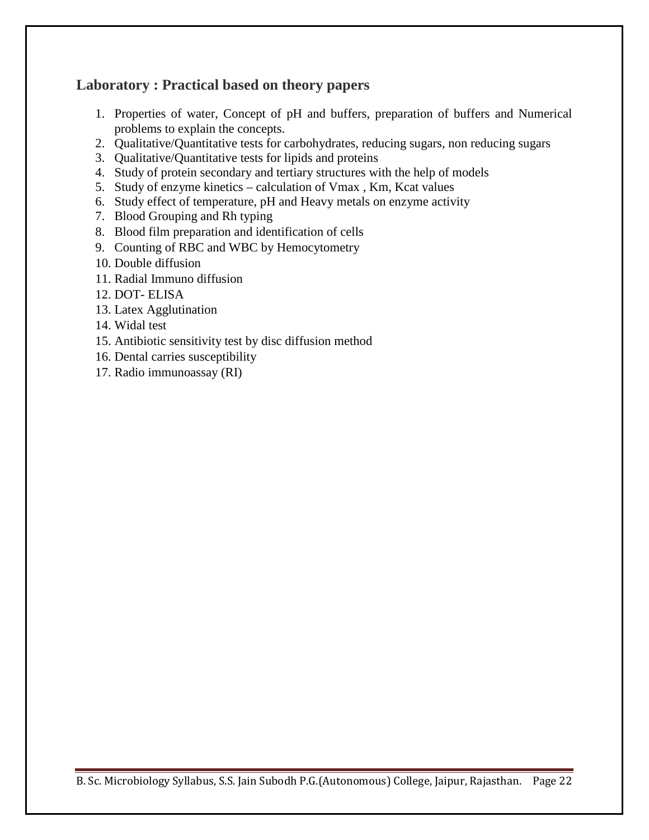# **Laboratory : Practical based on theory papers**

- 1. Properties of water, Concept of pH and buffers, preparation of buffers and Numerical problems to explain the concepts.
- 2. Qualitative/Quantitative tests for carbohydrates, reducing sugars, non reducing sugars
- 3. Qualitative/Quantitative tests for lipids and proteins
- 4. Study of protein secondary and tertiary structures with the help of models
- 5. Study of enzyme kinetics calculation of Vmax , Km, Kcat values
- 6. Study effect of temperature, pH and Heavy metals on enzyme activity
- 7. Blood Grouping and Rh typing
- 8. Blood film preparation and identification of cells
- 9. Counting of RBC and WBC by Hemocytometry
- 10. Double diffusion
- 11. Radial Immuno diffusion
- 12. DOT- ELISA
- 13. Latex Agglutination
- 14. Widal test
- 15. Antibiotic sensitivity test by disc diffusion method
- 16. Dental carries susceptibility
- 17. Radio immunoassay (RI)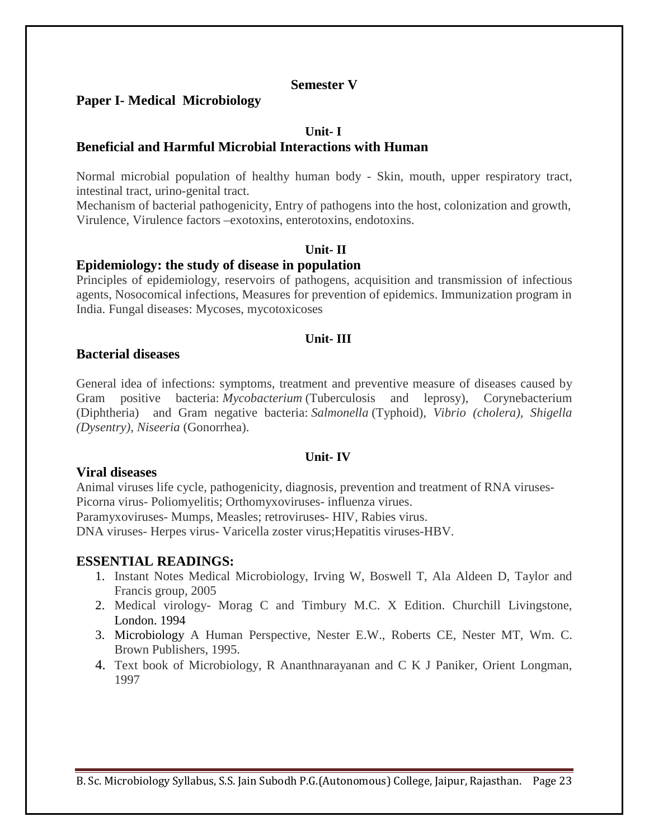## **Semester V**

## **Paper I- Medical Microbiology**

## **Unit- I**

## **Beneficial and Harmful Microbial Interactions with Human**

Normal microbial population of healthy human body - Skin, mouth, upper respiratory tract, intestinal tract, urino-genital tract.

Mechanism of bacterial pathogenicity, Entry of pathogens into the host, colonization and growth, Virulence, Virulence factors –exotoxins, enterotoxins, endotoxins.

### **Unit- II**

### **Epidemiology: the study of disease in population**

Principles of epidemiology, reservoirs of pathogens, acquisition and transmission of infectious agents, Nosocomical infections, Measures for prevention of epidemics. Immunization program in India. Fungal diseases: Mycoses, mycotoxicoses

### **Unit- III**

### **Bacterial diseases**

General idea of infections: symptoms, treatment and preventive measure of diseases caused by Gram positive bacteria: *Mycobacterium* (Tuberculosis and leprosy), Corynebacterium (Diphtheria) and Gram negative bacteria: *Salmonella* (Typhoid)*, Vibrio (cholera), Shigella (Dysentry), Niseeria* (Gonorrhea).

#### **Unit- IV**

#### **Viral diseases**

Animal viruses life cycle, pathogenicity, diagnosis, prevention and treatment of RNA viruses-Picorna virus- Poliomyelitis; Orthomyxoviruses- influenza virues. Paramyxoviruses- Mumps, Measles; retroviruses- HIV, Rabies virus.

DNA viruses- Herpes virus- Varicella zoster virus;Hepatitis viruses-HBV.

## **ESSENTIAL READINGS:**

- 1. Instant Notes Medical Microbiology, Irving W, Boswell T, Ala Aldeen D, Taylor and Francis group, 2005
- 2. Medical virology- Morag C and Timbury M.C. X Edition. Churchill Livingstone, London. 1994
- 3. Microbiology A Human Perspective, Nester E.W., Roberts CE, Nester MT, Wm. C. Brown Publishers, 1995.
- 4. Text book of Microbiology, R Ananthnarayanan and C K J Paniker, Orient Longman, 1997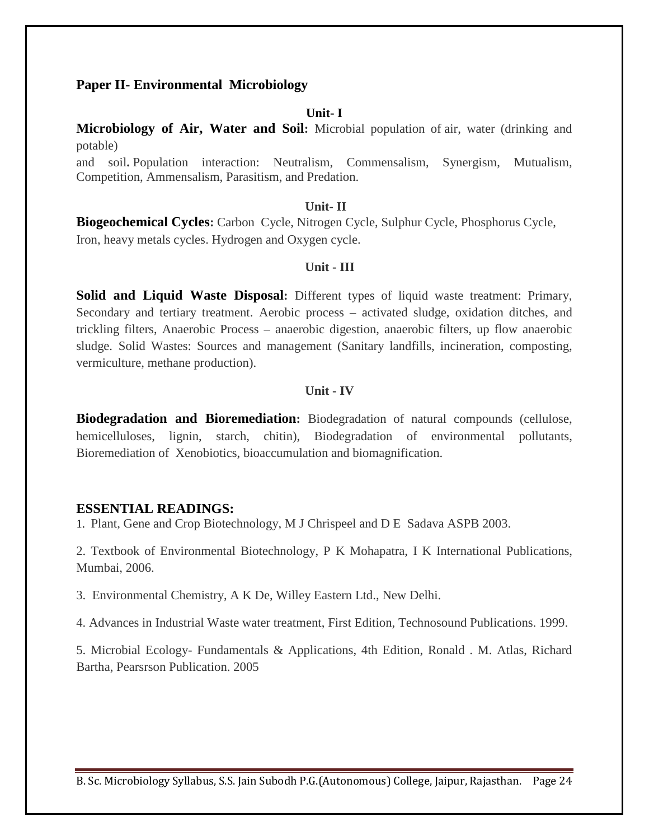## **Paper II- Environmental Microbiology**

### **Unit- I**

**Microbiology of Air, Water and Soil:** Microbial population of air, water (drinking and potable)

and soil**.** Population interaction: Neutralism, Commensalism, Synergism, Mutualism, Competition, Ammensalism, Parasitism, and Predation.

#### **Unit- II**

**Biogeochemical Cycles:** Carbon Cycle, Nitrogen Cycle, Sulphur Cycle, Phosphorus Cycle, Iron, heavy metals cycles. Hydrogen and Oxygen cycle.

#### **Unit - III**

**Solid and Liquid Waste Disposal:** Different types of liquid waste treatment: Primary, Secondary and tertiary treatment. Aerobic process – activated sludge, oxidation ditches, and trickling filters, Anaerobic Process – anaerobic digestion, anaerobic filters, up flow anaerobic sludge. Solid Wastes: Sources and management (Sanitary landfills, incineration, composting, vermiculture, methane production).

#### **Unit - IV**

**Biodegradation and Bioremediation:** Biodegradation of natural compounds (cellulose, hemicelluloses, lignin, starch, chitin), Biodegradation of environmental pollutants, Bioremediation of Xenobiotics, bioaccumulation and biomagnification.

### **ESSENTIAL READINGS:**

1. Plant, Gene and Crop Biotechnology, M J Chrispeel and D E Sadava ASPB 2003.

2. Textbook of Environmental Biotechnology, P K Mohapatra, I K International Publications, Mumbai, 2006.

3. Environmental Chemistry, A K De, Willey Eastern Ltd., New Delhi.

4. Advances in Industrial Waste water treatment, First Edition, Technosound Publications. 1999.

5. Microbial Ecology- Fundamentals & Applications, 4th Edition, Ronald . M. Atlas, Richard Bartha, Pearsrson Publication. 2005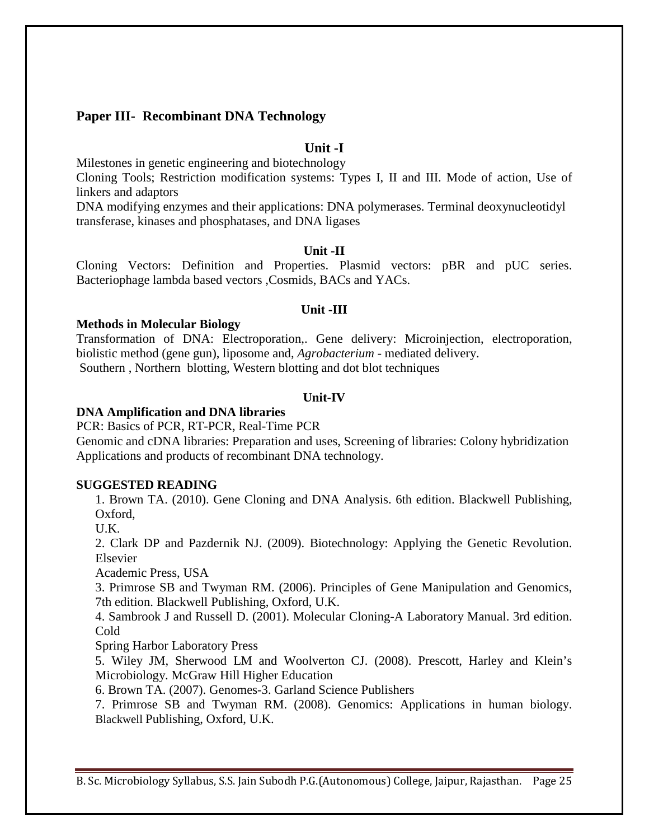## **Paper III- Recombinant DNA Technology**

## **Unit -I**

Milestones in genetic engineering and biotechnology

Cloning Tools; Restriction modification systems: Types I, II and III. Mode of action, Use of linkers and adaptors

DNA modifying enzymes and their applications: DNA polymerases. Terminal deoxynucleotidyl transferase, kinases and phosphatases, and DNA ligases

### **Unit -II**

Cloning Vectors: Definition and Properties. Plasmid vectors: pBR and pUC series. Bacteriophage lambda based vectors ,Cosmids, BACs and YACs.

#### **Unit -III**

#### **Methods in Molecular Biology**

Transformation of DNA: Electroporation,. Gene delivery: Microinjection, electroporation, biolistic method (gene gun), liposome and, *Agrobacterium* - mediated delivery. Southern , Northern blotting, Western blotting and dot blot techniques

#### **Unit-IV**

#### **DNA Amplification and DNA libraries**

PCR: Basics of PCR, RT-PCR, Real-Time PCR

Genomic and cDNA libraries: Preparation and uses, Screening of libraries: Colony hybridization Applications and products of recombinant DNA technology.

#### **SUGGESTED READING**

1. Brown TA. (2010). Gene Cloning and DNA Analysis. 6th edition. Blackwell Publishing, Oxford,

U.K.

2. Clark DP and Pazdernik NJ. (2009). Biotechnology: Applying the Genetic Revolution. Elsevier

Academic Press, USA

3. Primrose SB and Twyman RM. (2006). Principles of Gene Manipulation and Genomics, 7th edition. Blackwell Publishing, Oxford, U.K.

4. Sambrook J and Russell D. (2001). Molecular Cloning-A Laboratory Manual. 3rd edition. Cold

Spring Harbor Laboratory Press

5. Wiley JM, Sherwood LM and Woolverton CJ. (2008). Prescott, Harley and Klein's Microbiology. McGraw Hill Higher Education

6. Brown TA. (2007). Genomes-3. Garland Science Publishers

7. Primrose SB and Twyman RM. (2008). Genomics: Applications in human biology. Blackwell Publishing, Oxford, U.K.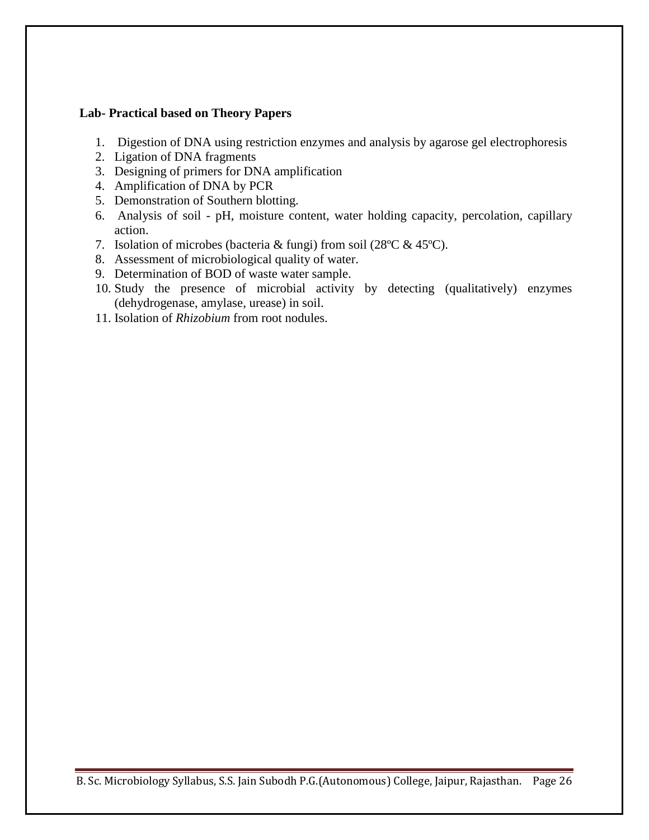## **Lab- Practical based on Theory Papers**

- 1. Digestion of DNA using restriction enzymes and analysis by agarose gel electrophoresis
- 2. Ligation of DNA fragments
- 3. Designing of primers for DNA amplification
- 4. Amplification of DNA by PCR
- 5. Demonstration of Southern blotting.
- 6. Analysis of soil pH, moisture content, water holding capacity, percolation, capillary action.
- 7. Isolation of microbes (bacteria & fungi) from soil (28ºC & 45ºC).
- 8. Assessment of microbiological quality of water.
- 9. Determination of BOD of waste water sample.
- 10. Study the presence of microbial activity by detecting (qualitatively) enzymes (dehydrogenase, amylase, urease) in soil.
- 11. Isolation of *Rhizobium* from root nodules.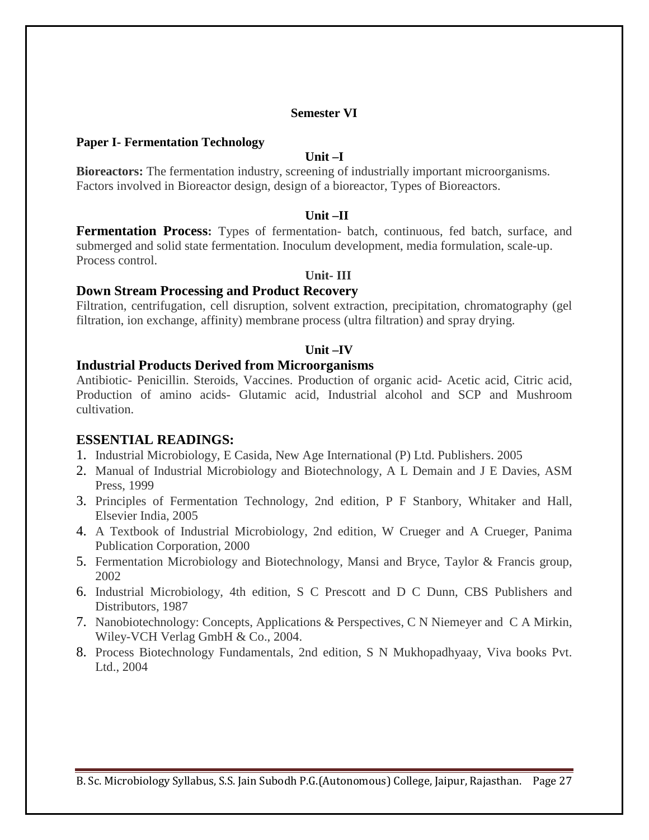## **Semester VI**

### **Paper I- Fermentation Technology**

## **Unit –I**

**Bioreactors:** The fermentation industry, screening of industrially important microorganisms. Factors involved in Bioreactor design, design of a bioreactor, Types of Bioreactors.

### **Unit –II**

**Fermentation Process:** Types of fermentation- batch, continuous, fed batch, surface, and submerged and solid state fermentation. Inoculum development, media formulation, scale-up. Process control.

### **Unit- III**

### **Down Stream Processing and Product Recovery**

Filtration, centrifugation, cell disruption, solvent extraction, precipitation, chromatography (gel filtration, ion exchange, affinity) membrane process (ultra filtration) and spray drying.

### **Unit –IV**

#### **Industrial Products Derived from Microorganisms**

Antibiotic- Penicillin. Steroids, Vaccines. Production of organic acid- Acetic acid, Citric acid, Production of amino acids- Glutamic acid, Industrial alcohol and SCP and Mushroom cultivation.

## **ESSENTIAL READINGS:**

- 1. Industrial Microbiology, E Casida, New Age International (P) Ltd. Publishers. 2005
- 2. Manual of Industrial Microbiology and Biotechnology, A L Demain and J E Davies, ASM Press, 1999
- 3. Principles of Fermentation Technology, 2nd edition, P F Stanbory, Whitaker and Hall, Elsevier India, 2005
- 4. A Textbook of Industrial Microbiology, 2nd edition, W Crueger and A Crueger, Panima Publication Corporation, 2000
- 5. Fermentation Microbiology and Biotechnology, Mansi and Bryce, Taylor & Francis group, 2002
- 6. Industrial Microbiology, 4th edition, S C Prescott and D C Dunn, CBS Publishers and Distributors, 1987
- 7. Nanobiotechnology: Concepts, Applications & Perspectives, C N Niemeyer and C A Mirkin, Wiley-VCH Verlag GmbH & Co., 2004.
- 8. Process Biotechnology Fundamentals, 2nd edition, S N Mukhopadhyaay, Viva books Pvt. Ltd., 2004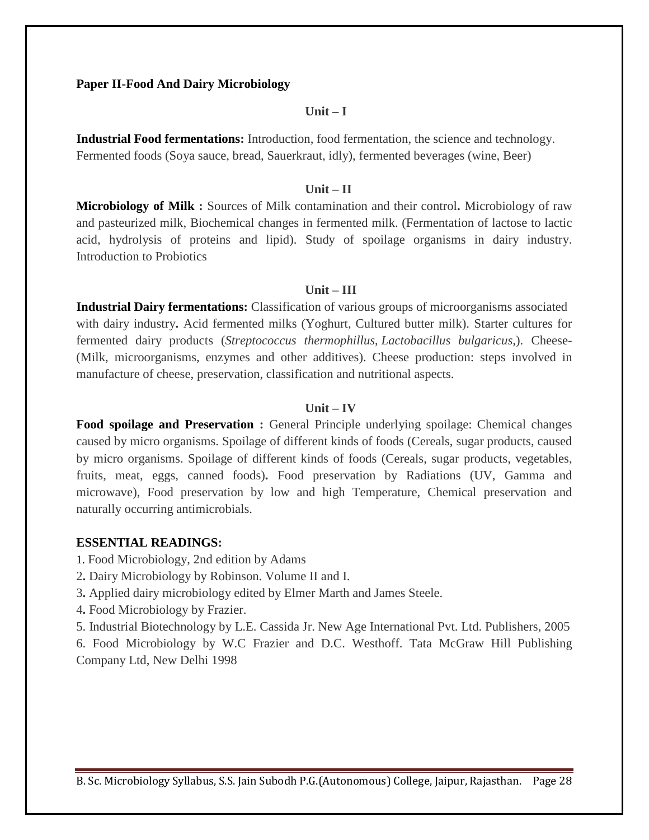### **Paper II-Food And Dairy Microbiology**

#### **Unit – I**

**Industrial Food fermentations:** Introduction, food fermentation, the science and technology. Fermented foods (Soya sauce, bread, Sauerkraut, idly), fermented beverages (wine, Beer)

### **Unit – II**

**Microbiology of Milk :** Sources of Milk contamination and their control**.** Microbiology of raw and pasteurized milk, Biochemical changes in fermented milk. (Fermentation of lactose to lactic acid, hydrolysis of proteins and lipid). Study of spoilage organisms in dairy industry. Introduction to Probiotics

#### **Unit – III**

**Industrial Dairy fermentations:** Classification of various groups of microorganisms associated with dairy industry**.** Acid fermented milks (Yoghurt, Cultured butter milk). Starter cultures for fermented dairy products (*Streptococcus thermophillus*, *Lactobacillus bulgaricus*,). Cheese- (Milk, microorganisms, enzymes and other additives). Cheese production: steps involved in manufacture of cheese, preservation, classification and nutritional aspects.

### **Unit – IV**

Food spoilage and Preservation : General Principle underlying spoilage: Chemical changes caused by micro organisms. Spoilage of different kinds of foods (Cereals, sugar products, caused by micro organisms. Spoilage of different kinds of foods (Cereals, sugar products, vegetables, fruits, meat, eggs, canned foods)**.** Food preservation by Radiations (UV, Gamma and microwave), Food preservation by low and high Temperature, Chemical preservation and naturally occurring antimicrobials.

### **ESSENTIAL READINGS:**

- 1. Food Microbiology, 2nd edition by Adams
- 2**.** Dairy Microbiology by Robinson. Volume II and I.
- 3**.** Applied dairy microbiology edited by Elmer Marth and James Steele.
- 4**.** Food Microbiology by Frazier.

5. Industrial Biotechnology by L.E. Cassida Jr. New Age International Pvt. Ltd. Publishers, 2005 6. Food Microbiology by W.C Frazier and D.C. Westhoff. Tata McGraw Hill Publishing Company Ltd, New Delhi 1998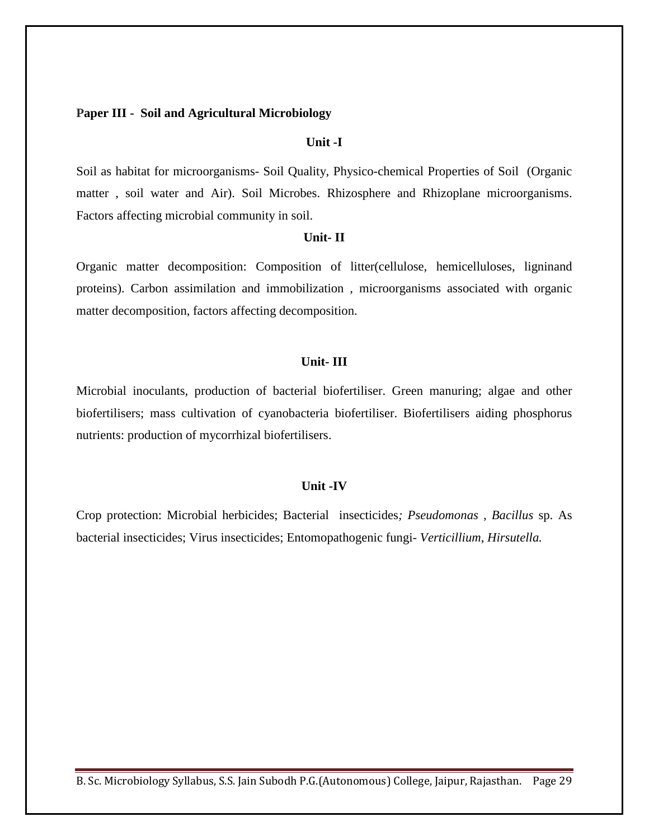#### **Paper III - Soil and Agricultural Microbiology**

### **Unit -I**

Soil as habitat for microorganisms- Soil Quality, Physico-chemical Properties of Soil (Organic matter , soil water and Air). Soil Microbes. Rhizosphere and Rhizoplane microorganisms. Factors affecting microbial community in soil.

### **Unit- II**

Organic matter decomposition: Composition of litter(cellulose, hemicelluloses, ligninand proteins). Carbon assimilation and immobilization , microorganisms associated with organic matter decomposition, factors affecting decomposition.

## **Unit- III**

Microbial inoculants, production of bacterial biofertiliser. Green manuring; algae and other biofertilisers; mass cultivation of cyanobacteria biofertiliser. Biofertilisers aiding phosphorus nutrients: production of mycorrhizal biofertilisers.

#### **Unit -IV**

Crop protection: Microbial herbicides; Bacterial insecticides*; Pseudomonas , Bacillus* sp. As bacterial insecticides; Virus insecticides; Entomopathogenic fungi- *Verticillium*, *Hirsutella.*